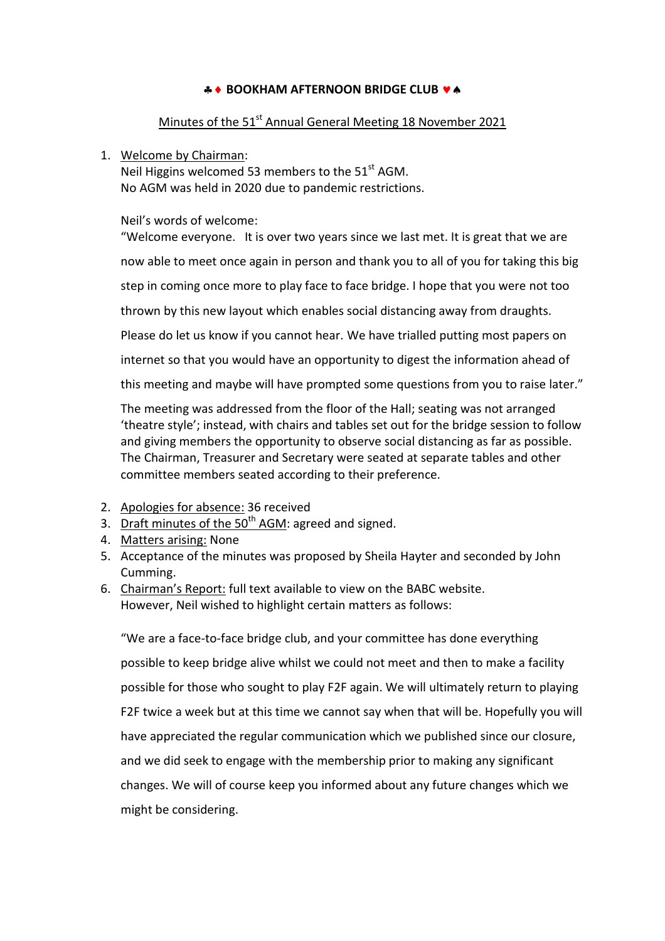# **A + BOOKHAM AFTERNOON BRIDGE CLUB**  $\bullet$  **A**

# Minutes of the 51<sup>st</sup> Annual General Meeting 18 November 2021

## 1. Welcome by Chairman:

Neil Higgins welcomed 53 members to the  $51<sup>st</sup>$  AGM. No AGM was held in 2020 due to pandemic restrictions.

Neil's words of welcome:

"Welcome everyone. It is over two years since we last met. It is great that we are now able to meet once again in person and thank you to all of you for taking this big step in coming once more to play face to face bridge. I hope that you were not too thrown by this new layout which enables social distancing away from draughts. Please do let us know if you cannot hear. We have trialled putting most papers on internet so that you would have an opportunity to digest the information ahead of this meeting and maybe will have prompted some questions from you to raise later."

The meeting was addressed from the floor of the Hall; seating was not arranged 'theatre style'; instead, with chairs and tables set out for the bridge session to follow and giving members the opportunity to observe social distancing as far as possible. The Chairman, Treasurer and Secretary were seated at separate tables and other committee members seated according to their preference.

- 2. Apologies for absence: 36 received
- 3. Draft minutes of the  $50<sup>th</sup>$  AGM: agreed and signed.
- 4. Matters arising: None
- 5. Acceptance of the minutes was proposed by Sheila Hayter and seconded by John Cumming.
- 6. Chairman's Report: full text available to view on the BABC website. However, Neil wished to highlight certain matters as follows:

"We are a face-to-face bridge club, and your committee has done everything possible to keep bridge alive whilst we could not meet and then to make a facility possible for those who sought to play F2F again. We will ultimately return to playing F2F twice a week but at this time we cannot say when that will be. Hopefully you will have appreciated the regular communication which we published since our closure, and we did seek to engage with the membership prior to making any significant changes. We will of course keep you informed about any future changes which we might be considering.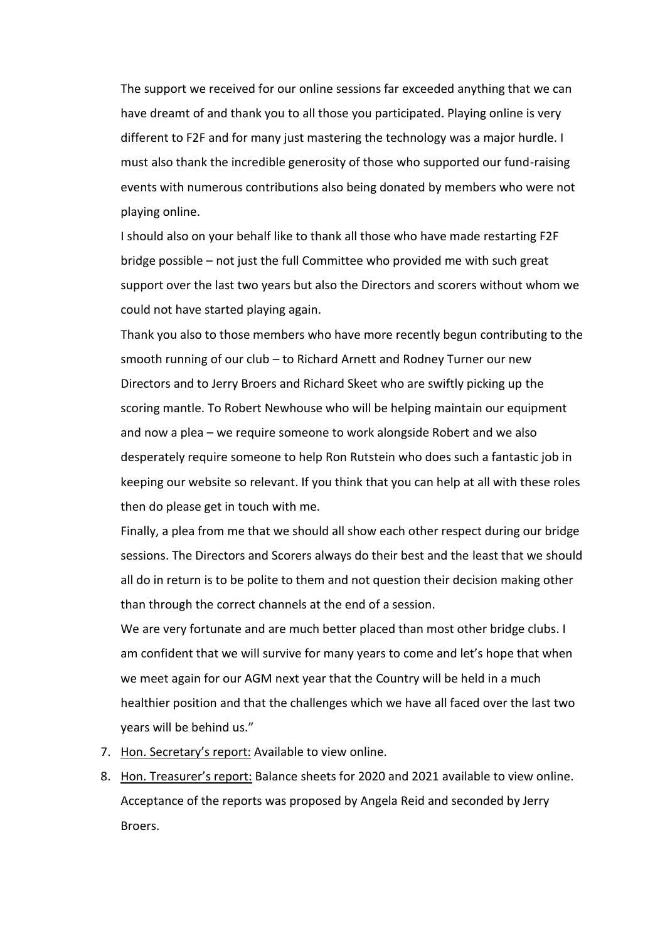The support we received for our online sessions far exceeded anything that we can have dreamt of and thank you to all those you participated. Playing online is very different to F2F and for many just mastering the technology was a major hurdle. I must also thank the incredible generosity of those who supported our fund-raising events with numerous contributions also being donated by members who were not playing online.

I should also on your behalf like to thank all those who have made restarting F2F bridge possible – not just the full Committee who provided me with such great support over the last two years but also the Directors and scorers without whom we could not have started playing again.

Thank you also to those members who have more recently begun contributing to the smooth running of our club – to Richard Arnett and Rodney Turner our new Directors and to Jerry Broers and Richard Skeet who are swiftly picking up the scoring mantle. To Robert Newhouse who will be helping maintain our equipment and now a plea – we require someone to work alongside Robert and we also desperately require someone to help Ron Rutstein who does such a fantastic job in keeping our website so relevant. If you think that you can help at all with these roles then do please get in touch with me.

Finally, a plea from me that we should all show each other respect during our bridge sessions. The Directors and Scorers always do their best and the least that we should all do in return is to be polite to them and not question their decision making other than through the correct channels at the end of a session.

We are very fortunate and are much better placed than most other bridge clubs. I am confident that we will survive for many years to come and let's hope that when we meet again for our AGM next year that the Country will be held in a much healthier position and that the challenges which we have all faced over the last two years will be behind us."

- 7. Hon. Secretary's report: Available to view online.
- 8. Hon. Treasurer's report: Balance sheets for 2020 and 2021 available to view online. Acceptance of the reports was proposed by Angela Reid and seconded by Jerry Broers.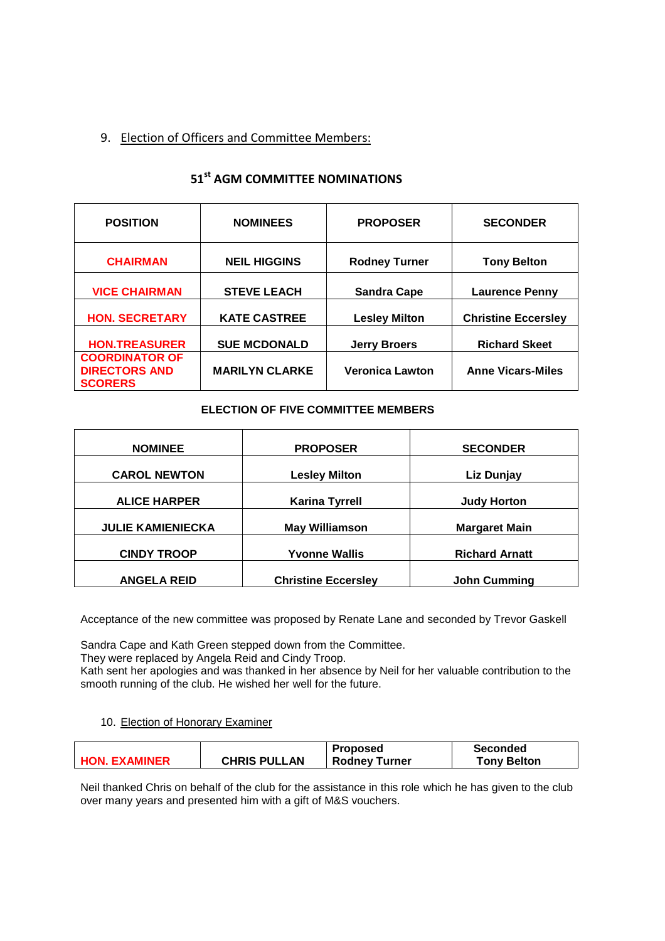# 9. Election of Officers and Committee Members:

# **51st AGM COMMITTEE NOMINATIONS**

| <b>POSITION</b>                                                 | <b>NOMINEES</b>       | <b>PROPOSER</b>        | <b>SECONDER</b>            |
|-----------------------------------------------------------------|-----------------------|------------------------|----------------------------|
| <b>CHAIRMAN</b>                                                 | <b>NEIL HIGGINS</b>   | <b>Rodney Turner</b>   | <b>Tony Belton</b>         |
| <b>VICE CHAIRMAN</b>                                            | <b>STEVE LEACH</b>    | <b>Sandra Cape</b>     | <b>Laurence Penny</b>      |
| <b>HON. SECRETARY</b>                                           | <b>KATE CASTREE</b>   | <b>Lesley Milton</b>   | <b>Christine Eccersley</b> |
| <b>HON.TREASURER</b>                                            | <b>SUE MCDONALD</b>   | <b>Jerry Broers</b>    | <b>Richard Skeet</b>       |
| <b>COORDINATOR OF</b><br><b>DIRECTORS AND</b><br><b>SCORERS</b> | <b>MARILYN CLARKE</b> | <b>Veronica Lawton</b> | <b>Anne Vicars-Miles</b>   |

## **ELECTION OF FIVE COMMITTEE MEMBERS**

| <b>NOMINEE</b><br><b>PROPOSER</b>            |                            | <b>SECONDER</b>       |
|----------------------------------------------|----------------------------|-----------------------|
| <b>CAROL NEWTON</b>                          | <b>Lesley Milton</b>       | Liz Dunjay            |
| <b>ALICE HARPER</b><br><b>Karina Tyrrell</b> |                            | <b>Judy Horton</b>    |
| <b>JULIE KAMIENIECKA</b>                     | <b>May Williamson</b>      | <b>Margaret Main</b>  |
| <b>CINDY TROOP</b>                           | <b>Yvonne Wallis</b>       | <b>Richard Arnatt</b> |
| <b>ANGELA REID</b>                           | <b>Christine Eccersley</b> | <b>John Cumming</b>   |

Acceptance of the new committee was proposed by Renate Lane and seconded by Trevor Gaskell

Sandra Cape and Kath Green stepped down from the Committee.

They were replaced by Angela Reid and Cindy Troop.

Kath sent her apologies and was thanked in her absence by Neil for her valuable contribution to the smooth running of the club. He wished her well for the future.

### 10. Election of Honorary Examiner

|                      |                     | <b>Proposed</b>      | Seconded           |
|----------------------|---------------------|----------------------|--------------------|
| <b>HON. EXAMINER</b> | <b>CHRIS PULLAN</b> | <b>Rodney Turner</b> | <b>Tony Belton</b> |

Neil thanked Chris on behalf of the club for the assistance in this role which he has given to the club over many years and presented him with a gift of M&S vouchers.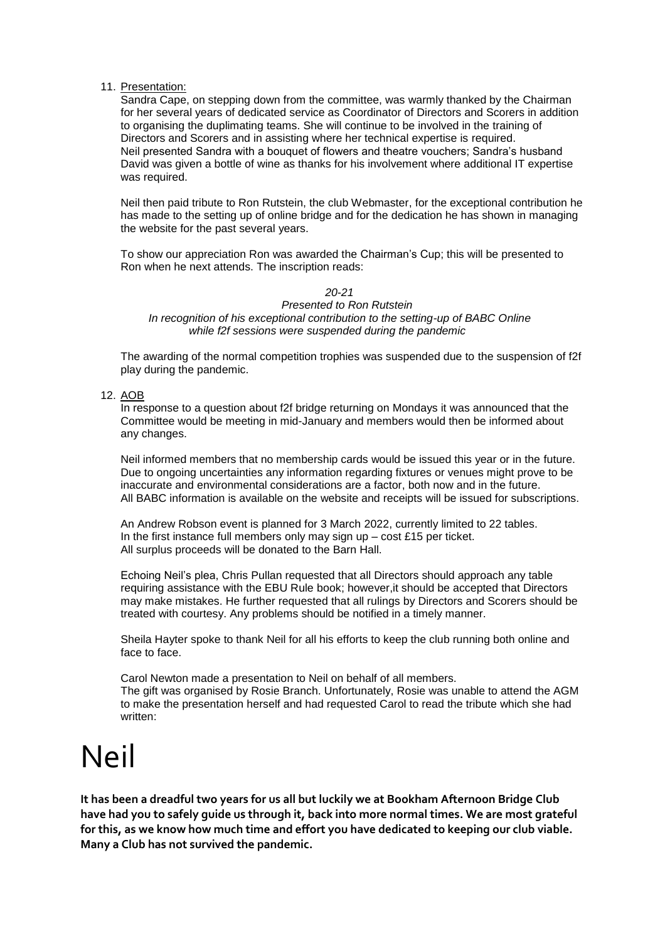#### 11. Presentation:

Sandra Cape, on stepping down from the committee, was warmly thanked by the Chairman for her several years of dedicated service as Coordinator of Directors and Scorers in addition to organising the duplimating teams. She will continue to be involved in the training of Directors and Scorers and in assisting where her technical expertise is required. Neil presented Sandra with a bouquet of flowers and theatre vouchers; Sandra's husband David was given a bottle of wine as thanks for his involvement where additional IT expertise was required.

Neil then paid tribute to Ron Rutstein, the club Webmaster, for the exceptional contribution he has made to the setting up of online bridge and for the dedication he has shown in managing the website for the past several years.

To show our appreciation Ron was awarded the Chairman's Cup; this will be presented to Ron when he next attends. The inscription reads:

## *20-21*

#### *Presented to Ron Rutstein In recognition of his exceptional contribution to the setting-up of BABC Online while f2f sessions were suspended during the pandemic*

The awarding of the normal competition trophies was suspended due to the suspension of f2f play during the pandemic.

#### 12. AOB

In response to a question about f2f bridge returning on Mondays it was announced that the Committee would be meeting in mid-January and members would then be informed about any changes.

Neil informed members that no membership cards would be issued this year or in the future. Due to ongoing uncertainties any information regarding fixtures or venues might prove to be inaccurate and environmental considerations are a factor, both now and in the future. All BABC information is available on the website and receipts will be issued for subscriptions.

An Andrew Robson event is planned for 3 March 2022, currently limited to 22 tables. In the first instance full members only may sign up  $-$  cost £15 per ticket. All surplus proceeds will be donated to the Barn Hall.

Echoing Neil's plea, Chris Pullan requested that all Directors should approach any table requiring assistance with the EBU Rule book; however,it should be accepted that Directors may make mistakes. He further requested that all rulings by Directors and Scorers should be treated with courtesy. Any problems should be notified in a timely manner.

Sheila Hayter spoke to thank Neil for all his efforts to keep the club running both online and face to face.

Carol Newton made a presentation to Neil on behalf of all members. The gift was organised by Rosie Branch. Unfortunately, Rosie was unable to attend the AGM to make the presentation herself and had requested Carol to read the tribute which she had written:

# Neil

**It has been a dreadful two years for us all but luckily we at Bookham Afternoon Bridge Club have had you to safely guide us through it, back into more normal times. We are most grateful for this, as we know how much time and effort you have dedicated to keeping our club viable. Many a Club has not survived the pandemic.**